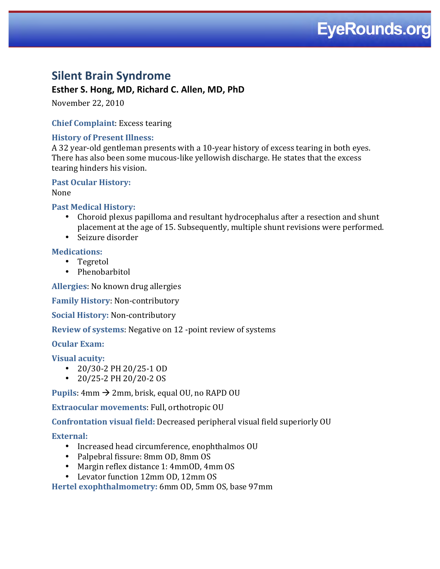# **EyeRounds.org**

## **Silent Brain Syndrome**

### Esther S. Hong, MD, Richard C. Allen, MD, PhD

November 22, 2010

#### **Chief Complaint: Excess tearing**

#### **History of Present Illness:**

A 32 year-old gentleman presents with a 10-year history of excess tearing in both eyes. There has also been some mucous-like yellowish discharge. He states that the excess tearing hinders his vision.

**Past Ocular History:** 

None

#### **Past Medical History:**

- Choroid plexus papilloma and resultant hydrocephalus after a resection and shunt placement at the age of 15. Subsequently, multiple shunt revisions were performed.
- Seizure disorder

#### **Medications:**

- Tegretol
- Phenobarbitol

Allergies: No known drug allergies

**Family History: Non-contributory** 

**Social History: Non-contributory** 

**Review of systems:** Negative on 12 -point review of systems

**Ocular Exam:** 

**Visual acuity:** 

- $\cdot$  20/30-2 PH 20/25-1 OD
- 20/25-2 PH 20/20-2 OS

**Pupils:** 4mm  $\rightarrow$  2mm, brisk, equal OU, no RAPD OU

Extraocular movements: Full, orthotropic OU

Confrontation visual field: Decreased peripheral visual field superiorly OU

External:

- · Increased head circumference, enophthalmos OU
- Palpebral fissure: 8mm OD, 8mm OS
- Margin reflex distance 1: 4mm0D, 4mm OS
- Levator function 12mm OD, 12mm OS

Hertel exophthalmometry: 6mm OD, 5mm OS, base 97mm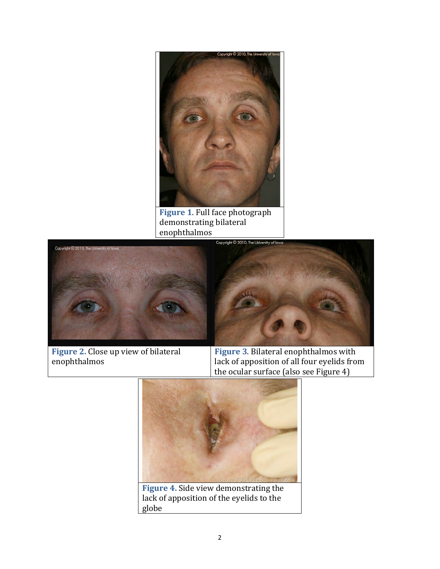

Figure 1. Full face photograph demonstrating bilateral enophthalmos





Figure 2. Close up view of bilateral enophthalmos

**Figure 3. Bilateral enophthalmos with** lack of apposition of all four eyelids from the ocular surface (also see Figure 4)



Figure 4. Side view demonstrating the lack of apposition of the eyelids to the globe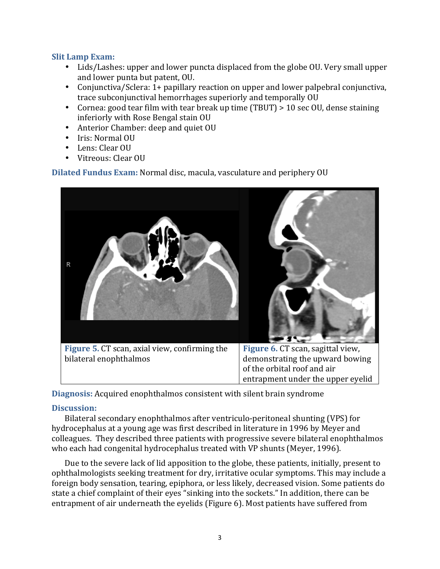#### **Slit Lamp Exam:**

- Lids/Lashes: upper and lower puncta displaced from the globe OU. Very small upper and lower punta but patent, OU.
- Conjunctiva/Sclera: 1+ papillary reaction on upper and lower palpebral conjunctiva, trace subconjunctival hemorrhages superiorly and temporally OU
- Cornea: good tear film with tear break up time (TBUT) > 10 sec OU, dense staining inferiorly with Rose Bengal stain OU
- Anterior Chamber: deep and quiet OU
- Iris: Normal OU
- Lens: Clear OU
- Vitreous: Clear OU

**Dilated Fundus Exam:** Normal disc, macula, vasculature and periphery OU



**Diagnosis:** Acquired enophthalmos consistent with silent brain syndrome

#### **Discussion:**

Bilateral secondary enophthalmos after ventriculo-peritoneal shunting (VPS) for hydrocephalus at a young age was first described in literature in 1996 by Meyer and colleagues. They described three patients with progressive severe bilateral enophthalmos who each had congenital hydrocephalus treated with VP shunts (Meyer, 1996).

Due to the severe lack of lid apposition to the globe, these patients, initially, present to ophthalmologists seeking treatment for dry, irritative ocular symptoms. This may include a foreign body sensation, tearing, epiphora, or less likely, decreased vision. Some patients do state a chief complaint of their eyes "sinking into the sockets." In addition, there can be entrapment of air underneath the eyelids (Figure 6). Most patients have suffered from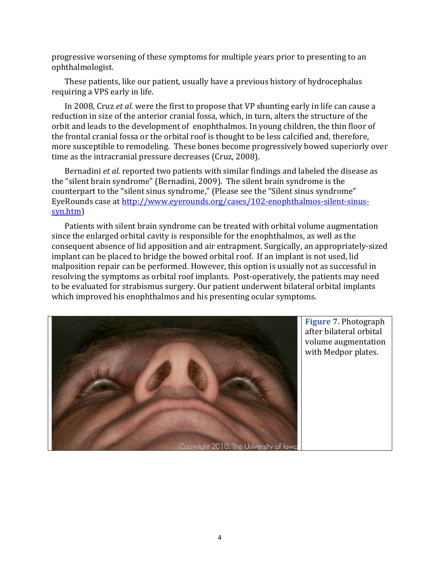progressive worsening of these symptoms for multiple years prior to presenting to an ophthalmologist.

These patients, like our patient, usually have a previous history of hydrocephalus requiring a VPS early in life.

In 2008, Cruz *et al.* were the first to propose that VP shunting early in life can cause a reduction in size of the anterior cranial fossa, which, in turn, alters the structure of the orbit and leads to the development of enophthalmos. In young children, the thin floor of the frontal cranial fossa or the orbital roof is thought to be less calcified and, therefore, more susceptible to remodeling. These bones become progressively bowed superiorly over time as the intracranial pressure decreases (Cruz, 2008).

Bernadini *et al*. reported two patients with similar findings and labeled the disease as the "silent brain syndrome" (Bernadini, 2009). The silent brain syndrome is the counterpart to the "silent sinus syndrome," (Please see the "Silent sinus syndrome" EyeRounds case at http://www.eyerounds.org/cases/102-enophthalmos-silent-sinussyn.htm)

Patients with silent brain syndrome can be treated with orbital volume augmentation since the enlarged orbital cavity is responsible for the enophthalmos, as well as the consequent absence of lid apposition and air entrapment. Surgically, an appropriately-sized implant can be placed to bridge the bowed orbital roof. If an implant is not used, lid malposition repair can be performed. However, this option is usually not as successful in resolving the symptoms as orbital roof implants. Post-operatively, the patients may need to be evaluated for strabismus surgery. Our patient underwent bilateral orbital implants which improved his enophthalmos and his presenting ocular symptoms.



**Figure 7. Photograph** after bilateral orbital volume augmentation with Medpor plates.